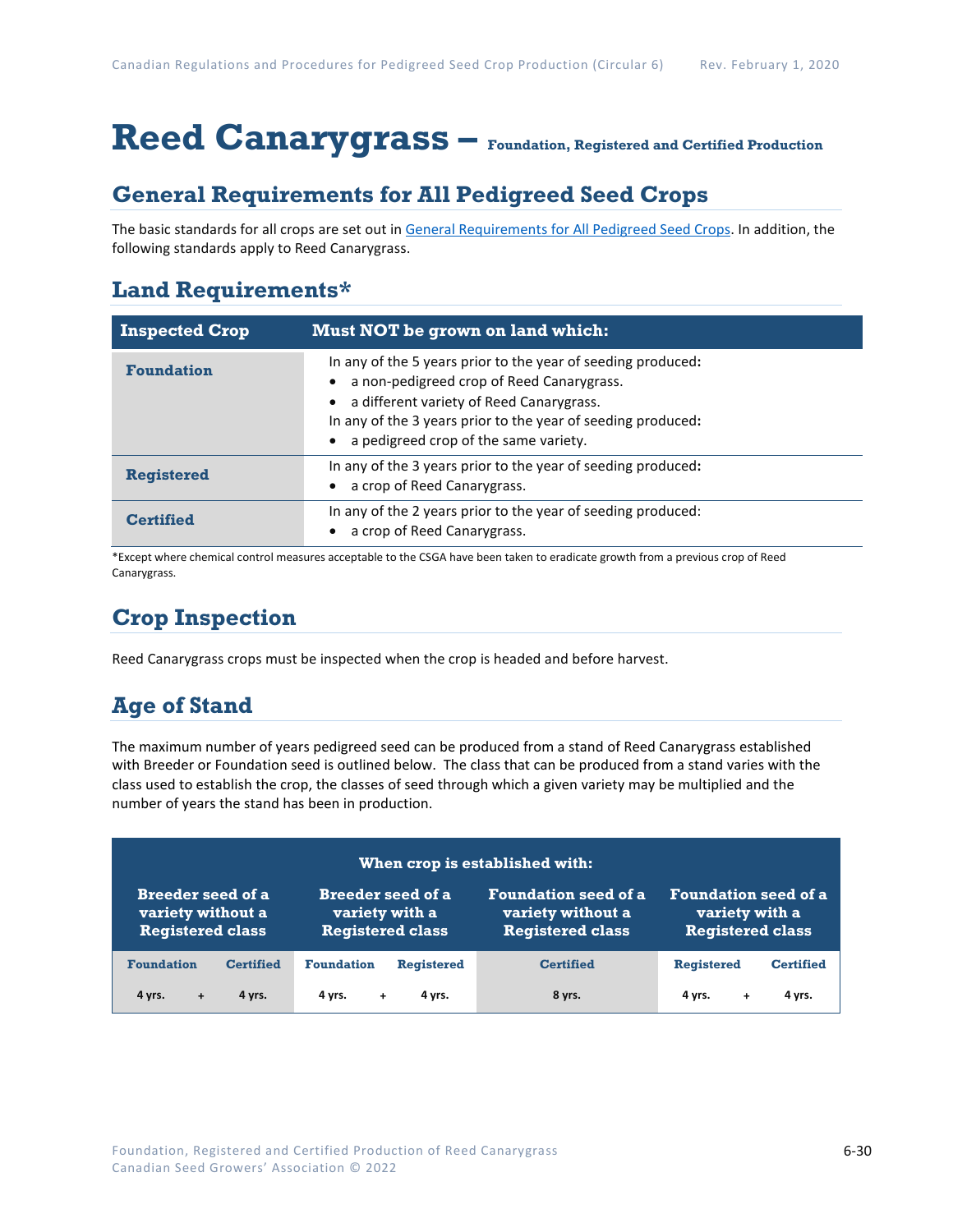# **Reed Canarygrass – Foundation, Registered and Certified Production**

### **General Requirements for All Pedigreed Seed Crops**

The basic standards for all crops are set out i[n General Requirements for All Pedigreed Seed](https://seedgrowers.ca/wp-content/uploads/2020/01/GENERAL-REQUIREMENTS-ALL-CROPS_EN.pdf) Crops. In addition, the following standards apply to Reed Canarygrass.

### **Land Requirements\***

| <b>Inspected Crop</b> | Must NOT be grown on land which:                                                                                                                                                                                                                               |  |
|-----------------------|----------------------------------------------------------------------------------------------------------------------------------------------------------------------------------------------------------------------------------------------------------------|--|
| <b>Foundation</b>     | In any of the 5 years prior to the year of seeding produced:<br>a non-pedigreed crop of Reed Canarygrass.<br>a different variety of Reed Canarygrass.<br>In any of the 3 years prior to the year of seeding produced:<br>a pedigreed crop of the same variety. |  |
| Registered            | In any of the 3 years prior to the year of seeding produced:<br>a crop of Reed Canarygrass.                                                                                                                                                                    |  |
| <b>Certified</b>      | In any of the 2 years prior to the year of seeding produced:<br>a crop of Reed Canarygrass.                                                                                                                                                                    |  |

\*Except where chemical control measures acceptable to the CSGA have been taken to eradicate growth from a previous crop of Reed Canarygrass.

## **Crop Inspection**

Reed Canarygrass crops must be inspected when the crop is headed and before harvest.

## **Age of Stand**

The maximum number of years pedigreed seed can be produced from a stand of Reed Canarygrass established with Breeder or Foundation seed is outlined below. The class that can be produced from a stand varies with the class used to establish the crop, the classes of seed through which a given variety may be multiplied and the number of years the stand has been in production.

| When crop is established with: |                          |                             |                         |  |  |
|--------------------------------|--------------------------|-----------------------------|-------------------------|--|--|
| <b>Breeder seed of a</b>       | <b>Breeder seed of a</b> | <b>Foundation seed of a</b> | Foundation seed of a    |  |  |
| variety without a              | variety with a           | variety without a           | variety with a          |  |  |
| <b>Registered class</b>        | <b>Registered class</b>  | <b>Registered class</b>     | <b>Registered class</b> |  |  |
| <b>Foundation</b>              | <b>Foundation</b>        | <b>Certified</b>            | <b>Registered</b>       |  |  |
| <b>Certified</b>               | <b>Registered</b>        |                             | <b>Certified</b>        |  |  |
| 4 yrs.                         | 4 yrs.                   | 8 yrs.                      | 4 vrs.                  |  |  |
| 4 yrs.                         | 4 vrs.                   |                             | 4 yrs.                  |  |  |
| $\ddot{}$                      | $+$                      |                             | $\ddot{}$               |  |  |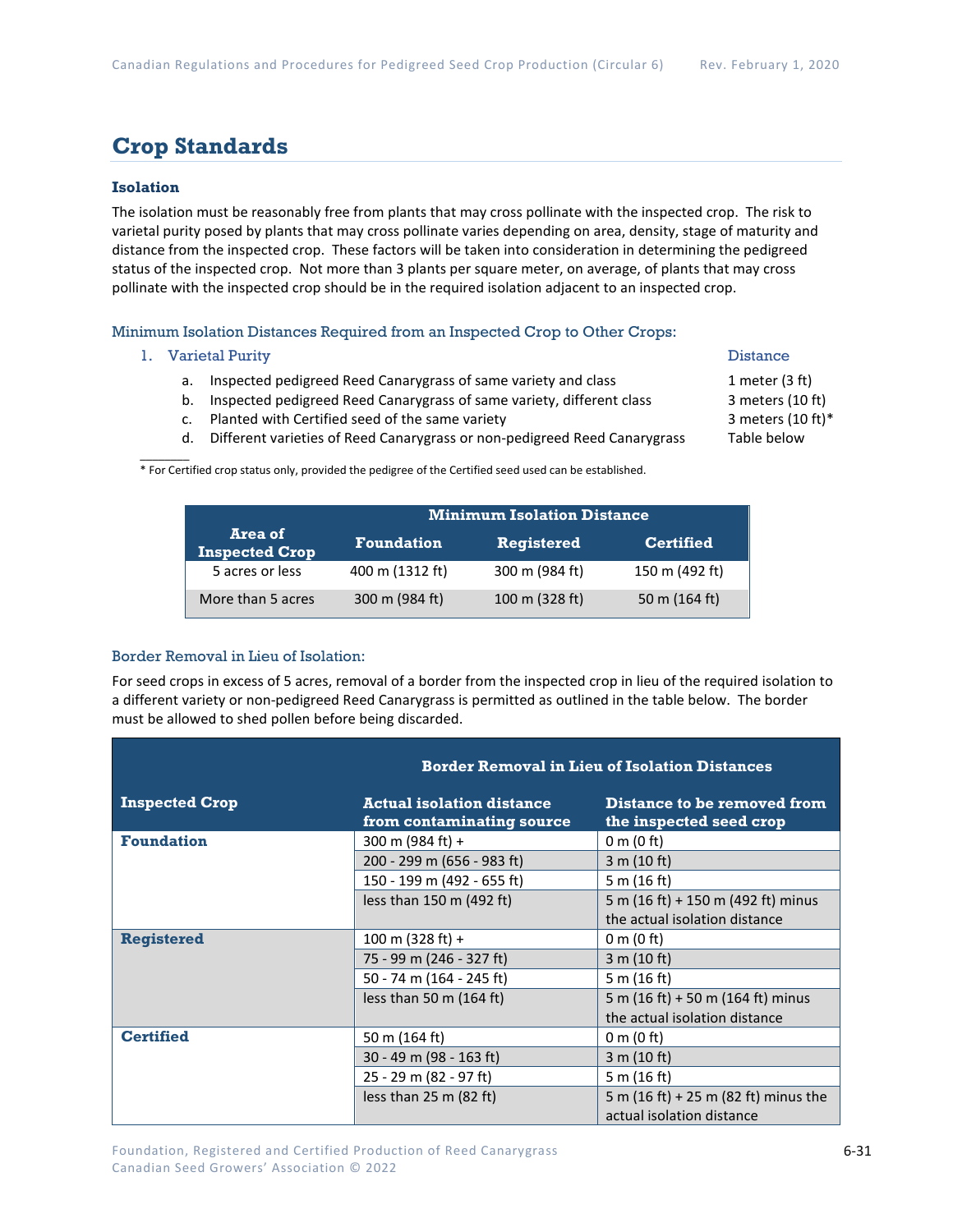### **Crop Standards**

#### **Isolation**

The isolation must be reasonably free from plants that may cross pollinate with the inspected crop. The risk to varietal purity posed by plants that may cross pollinate varies depending on area, density, stage of maturity and distance from the inspected crop. These factors will be taken into consideration in determining the pedigreed status of the inspected crop. Not more than 3 plants per square meter, on average, of plants that may cross pollinate with the inspected crop should be in the required isolation adjacent to an inspected crop.

#### Minimum Isolation Distances Required from an Inspected Crop to Other Crops:

#### 1. Varietal Purity **Distance**

- a. Inspected pedigreed Reed Canarygrass of same variety and class 1 meter (3 ft)
- b. Inspected pedigreed Reed Canarygrass of same variety, different class 3 meters (10 ft)
- c. Planted with Certified seed of the same variety  $\sim$  3 meters (10 ft)\*
- d. Different varieties of Reed Canarygrass or non-pedigreed Reed Canarygrass Table below

 $\mathcal{L}$ \* For Certified crop status only, provided the pedigree of the Certified seed used can be established.

|                                  | <b>Minimum Isolation Distance</b> |                   |                  |
|----------------------------------|-----------------------------------|-------------------|------------------|
| Area of<br><b>Inspected Crop</b> | <b>Foundation</b>                 | <b>Registered</b> | <b>Certified</b> |
| 5 acres or less                  | 400 m (1312 ft)                   | 300 m (984 ft)    | 150 m (492 ft)   |
| More than 5 acres                | 300 m (984 ft)                    | 100 m (328 ft)    | 50 m (164 ft)    |

#### Border Removal in Lieu of Isolation:

For seed crops in excess of 5 acres, removal of a border from the inspected crop in lieu of the required isolation to a different variety or non-pedigreed Reed Canarygrass is permitted as outlined in the table below. The border must be allowed to shed pollen before being discarded.

|                       | <b>Border Removal in Lieu of Isolation Distances</b>          |                                                                   |  |
|-----------------------|---------------------------------------------------------------|-------------------------------------------------------------------|--|
| <b>Inspected Crop</b> | <b>Actual isolation distance</b><br>from contaminating source | Distance to be removed from<br>the inspected seed crop            |  |
| <b>Foundation</b>     | 300 m (984 ft) +                                              | 0 m $(0 \text{ ft})$                                              |  |
|                       | 200 - 299 m (656 - 983 ft)                                    | 3 m (10 ft)                                                       |  |
|                       | 150 - 199 m (492 - 655 ft)                                    | 5 m (16 ft)                                                       |  |
|                       | less than 150 m (492 ft)                                      | 5 m (16 ft) + 150 m (492 ft) minus                                |  |
|                       |                                                               | the actual isolation distance                                     |  |
| <b>Registered</b>     | 100 m (328 ft) +                                              | 0 m $(0 \text{ ft})$                                              |  |
|                       | 75 - 99 m (246 - 327 ft)                                      | 3 m (10 ft)                                                       |  |
|                       | 50 - 74 m (164 - 245 ft)                                      | 5 m (16 ft)                                                       |  |
|                       | less than 50 m $(164 ft)$                                     | 5 m (16 ft) + 50 m (164 ft) minus                                 |  |
|                       |                                                               | the actual isolation distance                                     |  |
| <b>Certified</b>      | 50 m (164 ft)                                                 | 0 m $(0 \text{ ft})$                                              |  |
|                       | 30 - 49 m (98 - 163 ft)                                       | 3 m (10 ft)                                                       |  |
|                       | 25 - 29 m (82 - 97 ft)                                        | 5 m (16 ft)                                                       |  |
|                       | less than $25 \text{ m}$ (82 ft)                              | 5 m (16 ft) + 25 m (82 ft) minus the<br>actual isolation distance |  |